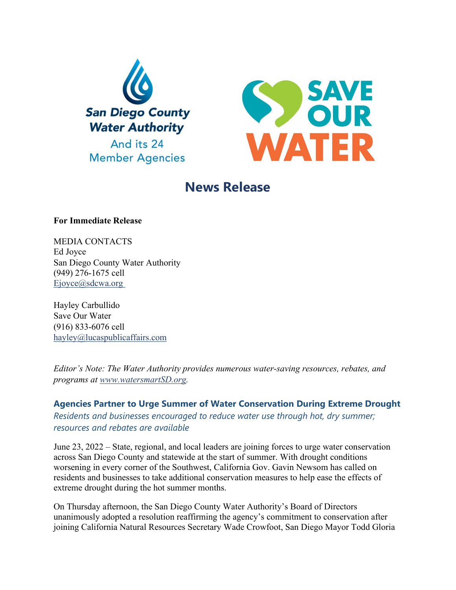



# **News Release**

## **For Immediate Release**

MEDIA CONTACTS Ed Joyce San Diego County Water Authority (949) 276-1675 cell [Ejoyce@sdcwa.org](mailto:Ejoyce@sdcwa.org)

Hayley Carbullido Save Our Water (916) 833-6076 cell [hayley@lucaspublicaffairs.com](mailto:hayley@lucaspublicaffairs.com)

*Editor's Note: The Water Authority provides numerous water-saving resources, rebates, and programs at [www.watersmartSD.org.](http://www.watersmartsd.org/)* 

**Agencies Partner to Urge Summer of Water Conservation During Extreme Drought** *Residents and businesses encouraged to reduce water use through hot, dry summer; resources and rebates are available*

June 23, 2022 – State, regional, and local leaders are joining forces to urge water conservation across San Diego County and statewide at the start of summer. With drought conditions worsening in every corner of the Southwest, California Gov. Gavin Newsom has called on residents and businesses to take additional conservation measures to help ease the effects of extreme drought during the hot summer months.

On Thursday afternoon, the San Diego County Water Authority's Board of Directors unanimously adopted a resolution reaffirming the agency's commitment to conservation after joining California Natural Resources Secretary Wade Crowfoot, San Diego Mayor Todd Gloria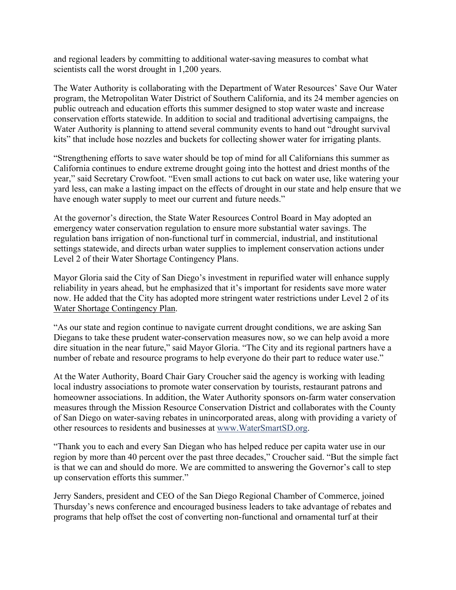and regional leaders by committing to additional water-saving measures to combat what scientists call the worst drought in 1,200 years.

The Water Authority is collaborating with the Department of Water Resources' Save Our Water program, the Metropolitan Water District of Southern California, and its 24 member agencies on public outreach and education efforts this summer designed to stop water waste and increase conservation efforts statewide. In addition to social and traditional advertising campaigns, the Water Authority is planning to attend several community events to hand out "drought survival kits" that include hose nozzles and buckets for collecting shower water for irrigating plants.

"Strengthening efforts to save water should be top of mind for all Californians this summer as California continues to endure extreme drought going into the hottest and driest months of the year," said Secretary Crowfoot. "Even small actions to cut back on water use, like watering your yard less, can make a lasting impact on the effects of drought in our state and help ensure that we have enough water supply to meet our current and future needs."

At the governor's direction, the State Water Resources Control Board in May adopted an emergency water conservation regulation to ensure more substantial water savings. The regulation bans irrigation of non-functional turf in commercial, industrial, and institutional settings statewide, and directs urban water supplies to implement conservation actions under Level 2 of their Water Shortage Contingency Plans.

Mayor Gloria said the City of San Diego's investment in repurified water will enhance supply reliability in years ahead, but he emphasized that it's important for residents save more water now. He added that the City has adopted more stringent water restrictions under Level 2 of it[s](https://www.sandiego.gov/sites/default/files/appendix_e_-_wscp_feb-12-2021.pdf) [Water Shortage Contingency Plan.](https://www.sandiego.gov/sites/default/files/appendix_e_-_wscp_feb-12-2021.pdf)

"As our state and region continue to navigate current drought conditions, we are asking San Diegans to take these prudent water-conservation measures now, so we can help avoid a more dire situation in the near future," said Mayor Gloria. "The City and its regional partners have a number of rebate and resource programs to help everyone do their part to reduce water use."

At the Water Authority, Board Chair Gary Croucher said the agency is working with leading local industry associations to promote water conservation by tourists, restaurant patrons and homeowner associations. In addition, the Water Authority sponsors on-farm water conservation measures through the Mission Resource Conservation District and collaborates with the County of San Diego on water-saving rebates in unincorporated areas, along with providing a variety of other resources to residents and businesses at [www.WaterSmartSD.org.](http://www.watersmartsd.org/)

"Thank you to each and every San Diegan who has helped reduce per capita water use in our region by more than 40 percent over the past three decades," Croucher said. "But the simple fact is that we can and should do more. We are committed to answering the Governor's call to step up conservation efforts this summer."

Jerry Sanders, president and CEO of the San Diego Regional Chamber of Commerce, joined Thursday's news conference and encouraged business leaders to take advantage of rebates and programs that help offset the cost of converting non-functional and ornamental turf at their